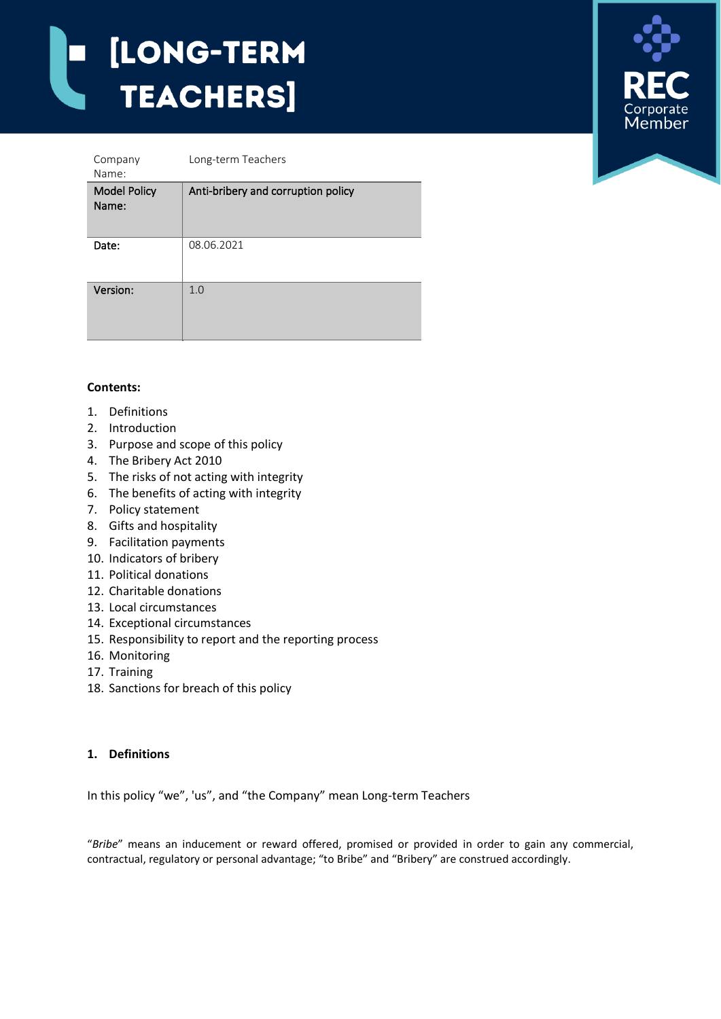



# **Contents:**

- 1. Definitions
- 2. Introduction
- 3. Purpose and scope of this policy
- 4. The Bribery Act 2010
- 5. The risks of not acting with integrity
- 6. The benefits of acting with integrity
- 7. Policy statement
- 8. Gifts and hospitality
- 9. Facilitation payments
- 10. Indicators of bribery
- 11. Political donations
- 12. Charitable donations
- 13. Local circumstances
- 14. Exceptional circumstances
- 15. Responsibility to report and the reporting process
- 16. Monitoring
- 17. Training
- 18. Sanctions for breach of this policy

# **1. Definitions**

In this policy "we", 'us", and "the Company" mean Long-term Teachers

"*Bribe*" means an inducement or reward offered, promised or provided in order to gain any commercial, contractual, regulatory or personal advantage; "to Bribe" and "Bribery" are construed accordingly.

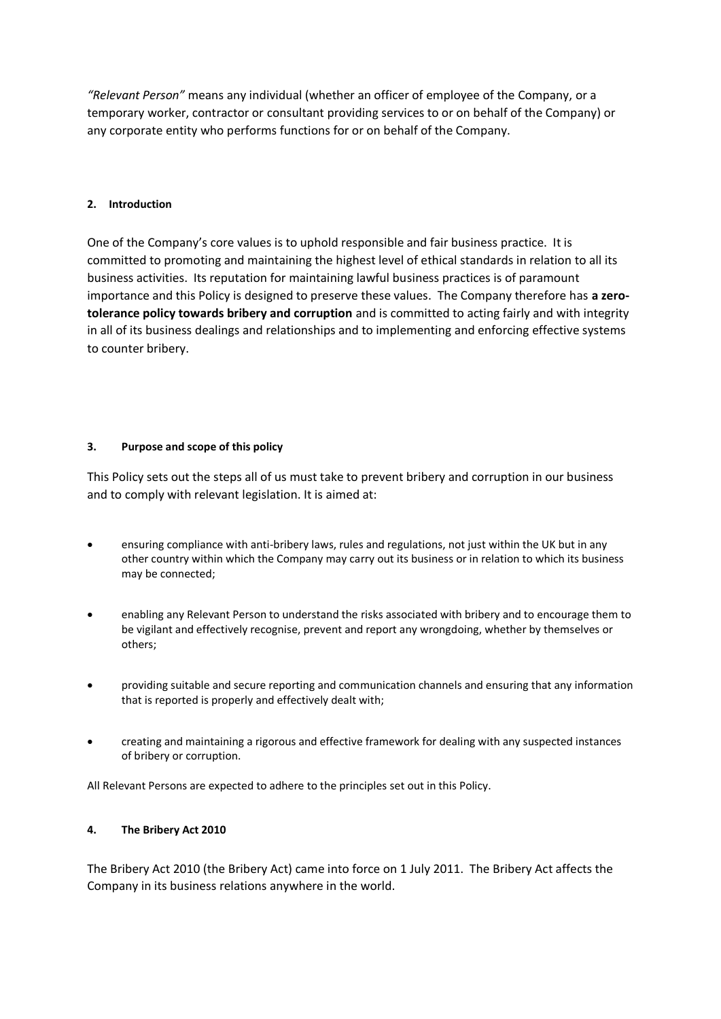*"Relevant Person"* means any individual (whether an officer of employee of the Company, or a temporary worker, contractor or consultant providing services to or on behalf of the Company) or any corporate entity who performs functions for or on behalf of the Company.

# **2. Introduction**

One of the Company's core values is to uphold responsible and fair business practice. It is committed to promoting and maintaining the highest level of ethical standards in relation to all its business activities. Its reputation for maintaining lawful business practices is of paramount importance and this Policy is designed to preserve these values. The Company therefore has **a zerotolerance policy towards bribery and corruption** and is committed to acting fairly and with integrity in all of its business dealings and relationships and to implementing and enforcing effective systems to counter bribery.

# **3. Purpose and scope of this policy**

This Policy sets out the steps all of us must take to prevent bribery and corruption in our business and to comply with relevant legislation. It is aimed at:

- ensuring compliance with anti-bribery laws, rules and regulations, not just within the UK but in any other country within which the Company may carry out its business or in relation to which its business may be connected;
- enabling any Relevant Person to understand the risks associated with bribery and to encourage them to be vigilant and effectively recognise, prevent and report any wrongdoing, whether by themselves or others;
- providing suitable and secure reporting and communication channels and ensuring that any information that is reported is properly and effectively dealt with;
- creating and maintaining a rigorous and effective framework for dealing with any suspected instances of bribery or corruption.

All Relevant Persons are expected to adhere to the principles set out in this Policy.

# **4. The Bribery Act 2010**

The Bribery Act 2010 (the Bribery Act) came into force on 1 July 2011. The Bribery Act affects the Company in its business relations anywhere in the world.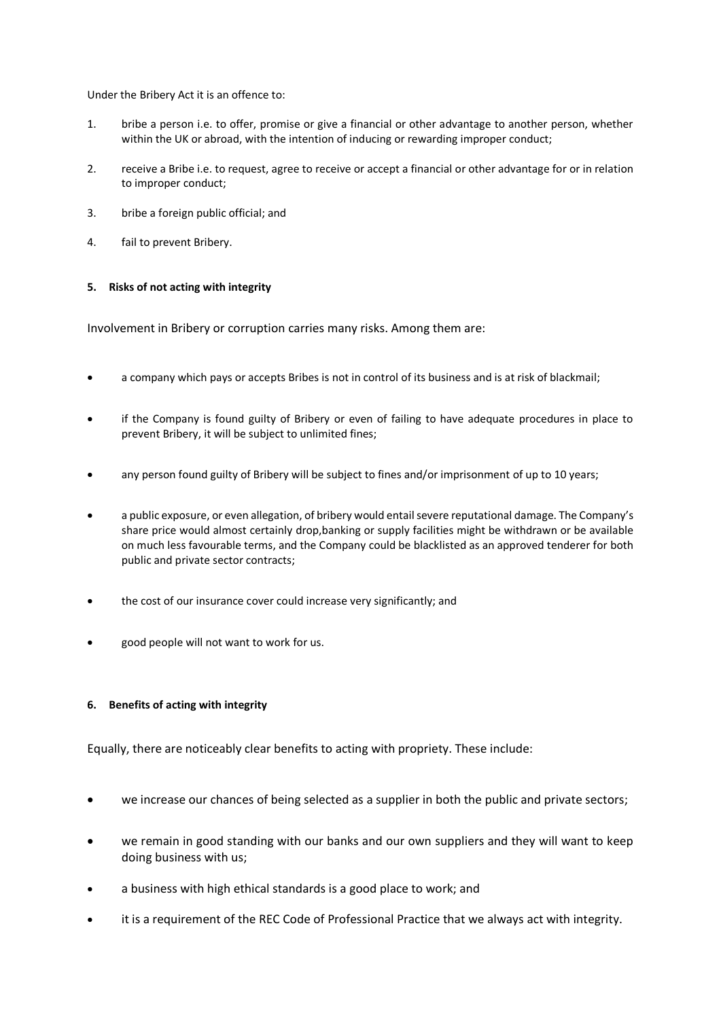Under the Bribery Act it is an offence to:

- 1. bribe a person i.e. to offer, promise or give a financial or other advantage to another person, whether within the UK or abroad, with the intention of inducing or rewarding improper conduct;
- 2. receive a Bribe i.e. to request, agree to receive or accept a financial or other advantage for or in relation to improper conduct;
- 3. bribe a foreign public official; and
- 4. fail to prevent Bribery.

## **5. Risks of not acting with integrity**

Involvement in Bribery or corruption carries many risks. Among them are:

- a company which pays or accepts Bribes is not in control of its business and is at risk of blackmail;
- if the Company is found guilty of Bribery or even of failing to have adequate procedures in place to prevent Bribery, it will be subject to unlimited fines;
- any person found guilty of Bribery will be subject to fines and/or imprisonment of up to 10 years;
- a public exposure, or even allegation, of bribery would entail severe reputational damage. The Company's share price would almost certainly drop,banking or supply facilities might be withdrawn or be available on much less favourable terms, and the Company could be blacklisted as an approved tenderer for both public and private sector contracts;
- the cost of our insurance cover could increase very significantly; and
- good people will not want to work for us.

#### **6. Benefits of acting with integrity**

Equally, there are noticeably clear benefits to acting with propriety. These include:

- we increase our chances of being selected as a supplier in both the public and private sectors;
- we remain in good standing with our banks and our own suppliers and they will want to keep doing business with us;
- a business with high ethical standards is a good place to work; and
- it is a requirement of the REC Code of Professional Practice that we always act with integrity.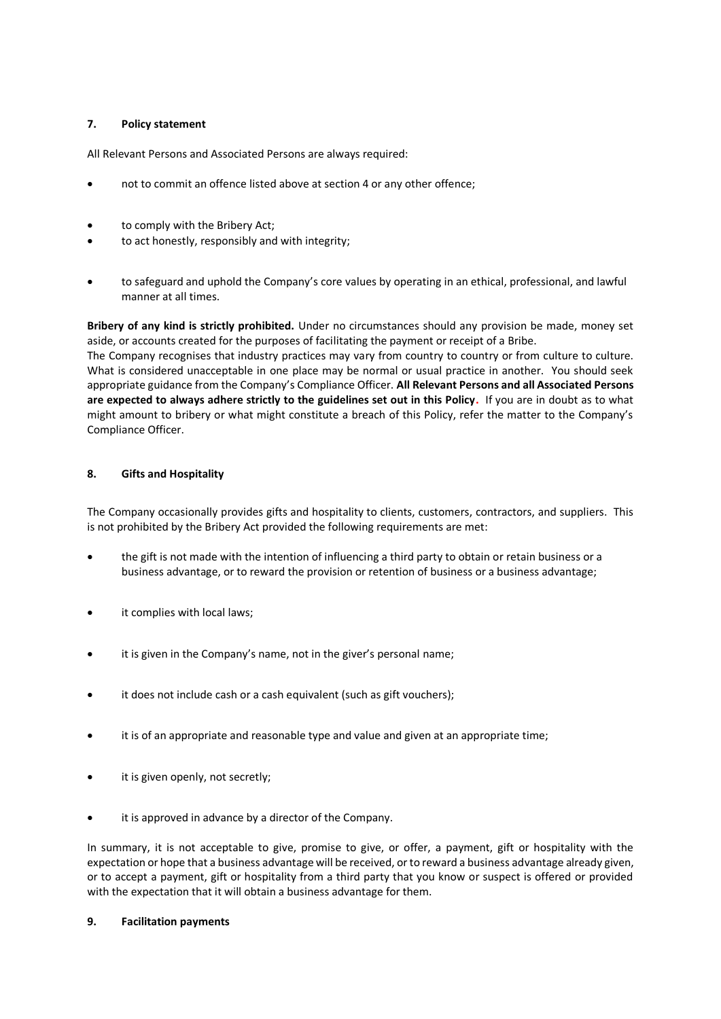# **7. Policy statement**

All Relevant Persons and Associated Persons are always required:

- not to commit an offence listed above at section 4 or any other offence;
- to comply with the Bribery Act;
- to act honestly, responsibly and with integrity;
- to safeguard and uphold the Company's core values by operating in an ethical, professional, and lawful manner at all times.

**Bribery of any kind is strictly prohibited.** Under no circumstances should any provision be made, money set aside, or accounts created for the purposes of facilitating the payment or receipt of a Bribe. The Company recognises that industry practices may vary from country to country or from culture to culture. What is considered unacceptable in one place may be normal or usual practice in another. You should seek appropriate guidance from the Company's Compliance Officer. **All Relevant Persons and all Associated Persons are expected to always adhere strictly to the guidelines set out in this Policy.** If you are in doubt as to what might amount to bribery or what might constitute a breach of this Policy, refer the matter to the Company's Compliance Officer.

#### **8. Gifts and Hospitality**

The Company occasionally provides gifts and hospitality to clients, customers, contractors, and suppliers. This is not prohibited by the Bribery Act provided the following requirements are met:

- the gift is not made with the intention of influencing a third party to obtain or retain business or a business advantage, or to reward the provision or retention of business or a business advantage;
- it complies with local laws;
- it is given in the Company's name, not in the giver's personal name;
- it does not include cash or a cash equivalent (such as gift vouchers);
- it is of an appropriate and reasonable type and value and given at an appropriate time;
- it is given openly, not secretly;
- it is approved in advance by a director of the Company.

In summary, it is not acceptable to give, promise to give, or offer, a payment, gift or hospitality with the expectation or hope that a business advantage will be received, or to reward a business advantage already given, or to accept a payment, gift or hospitality from a third party that you know or suspect is offered or provided with the expectation that it will obtain a business advantage for them.

## **9. Facilitation payments**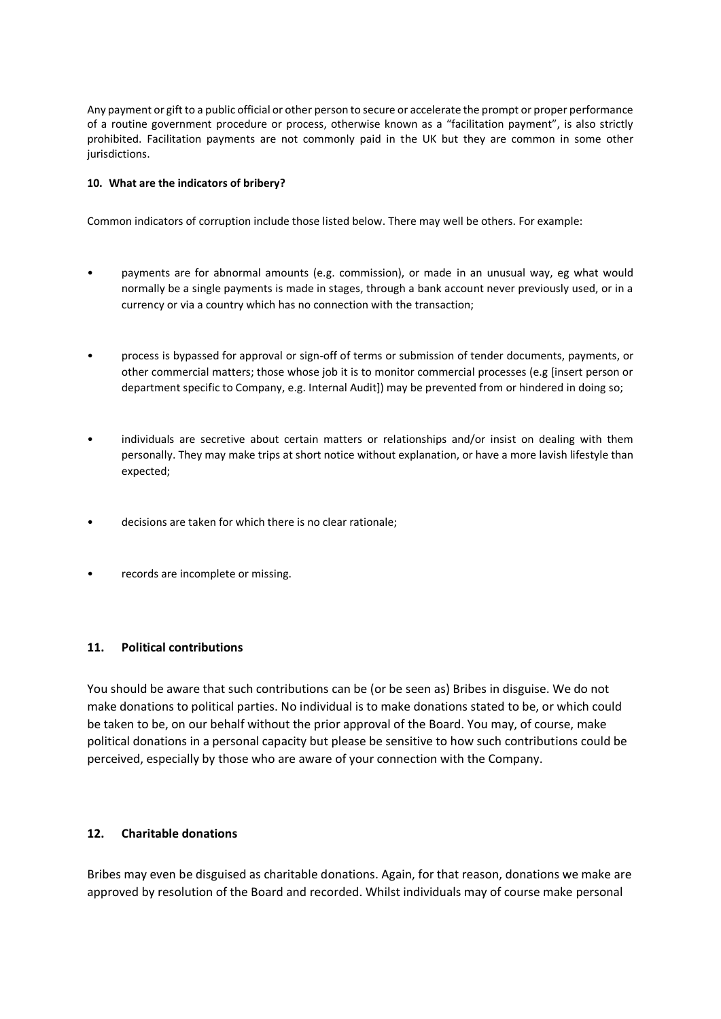Any payment or gift to a public official or other person to secure or accelerate the prompt or proper performance of a routine government procedure or process, otherwise known as a "facilitation payment", is also strictly prohibited. Facilitation payments are not commonly paid in the UK but they are common in some other jurisdictions.

# **10. What are the indicators of bribery?**

Common indicators of corruption include those listed below. There may well be others. For example:

- payments are for abnormal amounts (e.g. commission), or made in an unusual way, eg what would normally be a single payments is made in stages, through a bank account never previously used, or in a currency or via a country which has no connection with the transaction;
- process is bypassed for approval or sign-off of terms or submission of tender documents, payments, or other commercial matters; those whose job it is to monitor commercial processes (e.g [insert person or department specific to Company, e.g. Internal Audit]) may be prevented from or hindered in doing so;
- individuals are secretive about certain matters or relationships and/or insist on dealing with them personally. They may make trips at short notice without explanation, or have a more lavish lifestyle than expected;
- decisions are taken for which there is no clear rationale;
- records are incomplete or missing.

# **11. Political contributions**

You should be aware that such contributions can be (or be seen as) Bribes in disguise. We do not make donations to political parties. No individual is to make donations stated to be, or which could be taken to be, on our behalf without the prior approval of the Board. You may, of course, make political donations in a personal capacity but please be sensitive to how such contributions could be perceived, especially by those who are aware of your connection with the Company.

### **12. Charitable donations**

Bribes may even be disguised as charitable donations. Again, for that reason, donations we make are approved by resolution of the Board and recorded. Whilst individuals may of course make personal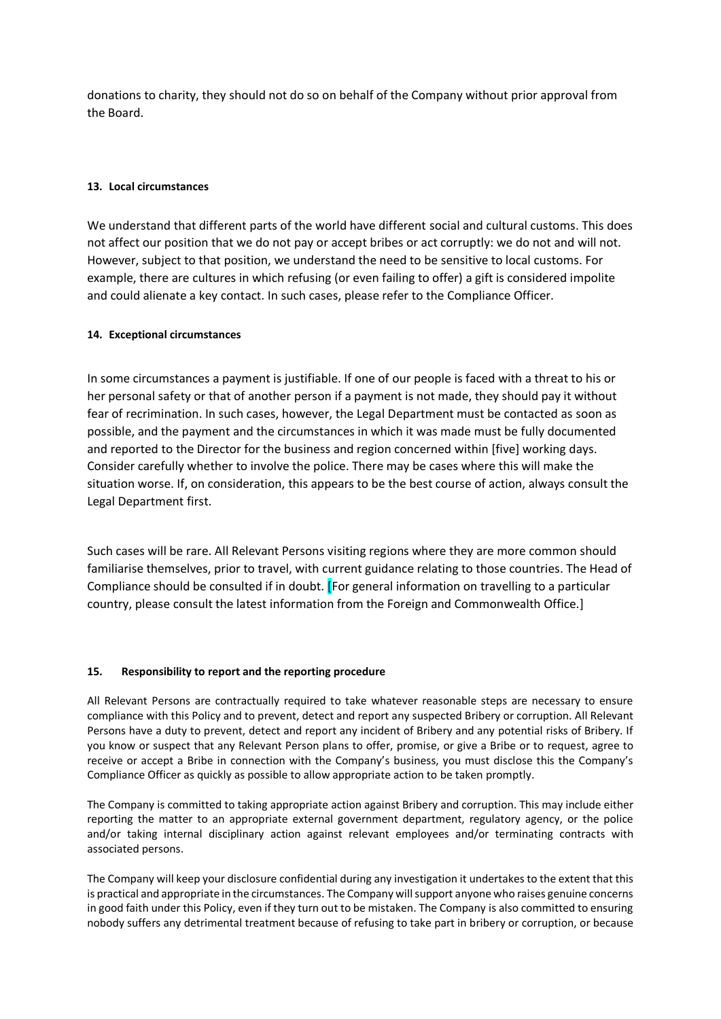donations to charity, they should not do so on behalf of the Company without prior approval from the Board.

## **13. Local circumstances**

We understand that different parts of the world have different social and cultural customs. This does not affect our position that we do not pay or accept bribes or act corruptly: we do not and will not. However, subject to that position, we understand the need to be sensitive to local customs. For example, there are cultures in which refusing (or even failing to offer) a gift is considered impolite and could alienate a key contact. In such cases, please refer to the Compliance Officer.

## **14. Exceptional circumstances**

In some circumstances a payment is justifiable. If one of our people is faced with a threat to his or her personal safety or that of another person if a payment is not made, they should pay it without fear of recrimination. In such cases, however, the Legal Department must be contacted as soon as possible, and the payment and the circumstances in which it was made must be fully documented and reported to the Director for the business and region concerned within [five] working days. Consider carefully whether to involve the police. There may be cases where this will make the situation worse. If, on consideration, this appears to be the best course of action, always consult the Legal Department first.

Such cases will be rare. All Relevant Persons visiting regions where they are more common should familiarise themselves, prior to travel, with current guidance relating to those countries. The Head of Compliance should be consulted if in doubt. [For general information on travelling to a particular country, please consult the latest information from the Foreign and Commonwealth Office.]

#### **15. Responsibility to report and the reporting procedure**

All Relevant Persons are contractually required to take whatever reasonable steps are necessary to ensure compliance with this Policy and to prevent, detect and report any suspected Bribery or corruption. All Relevant Persons have a duty to prevent, detect and report any incident of Bribery and any potential risks of Bribery. If you know or suspect that any Relevant Person plans to offer, promise, or give a Bribe or to request, agree to receive or accept a Bribe in connection with the Company's business, you must disclose this the Company's Compliance Officer as quickly as possible to allow appropriate action to be taken promptly.

The Company is committed to taking appropriate action against Bribery and corruption. This may include either reporting the matter to an appropriate external government department, regulatory agency, or the police and/or taking internal disciplinary action against relevant employees and/or terminating contracts with associated persons.

The Company will keep your disclosure confidential during any investigation it undertakes to the extent that this is practical and appropriate in the circumstances. The Company will support anyone who raises genuine concerns in good faith under this Policy, even if they turn out to be mistaken. The Company is also committed to ensuring nobody suffers any detrimental treatment because of refusing to take part in bribery or corruption, or because